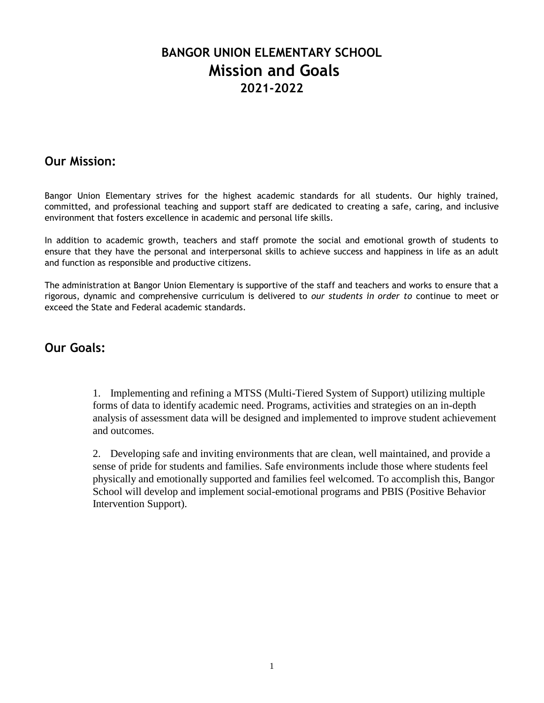# **BANGOR UNION ELEMENTARY SCHOOL Mission and Goals 2021-2022**

# **Our Mission:**

Bangor Union Elementary strives for the highest academic standards for all students. Our highly trained, committed, and professional teaching and support staff are dedicated to creating a safe, caring, and inclusive environment that fosters excellence in academic and personal life skills.

In addition to academic growth, teachers and staff promote the social and emotional growth of students to ensure that they have the personal and interpersonal skills to achieve success and happiness in life as an adult and function as responsible and productive citizens.

The administration at Bangor Union Elementary is supportive of the staff and teachers and works to ensure that a rigorous, dynamic and comprehensive curriculum is delivered to *our students in order to* continue to meet or exceed the State and Federal academic standards.

# **Our Goals:**

1. Implementing and refining a MTSS (Multi-Tiered System of Support) utilizing multiple forms of data to identify academic need. Programs, activities and strategies on an in-depth analysis of assessment data will be designed and implemented to improve student achievement and outcomes.

2. Developing safe and inviting environments that are clean, well maintained, and provide a sense of pride for students and families. Safe environments include those where students feel physically and emotionally supported and families feel welcomed. To accomplish this, Bangor School will develop and implement social-emotional programs and PBIS (Positive Behavior Intervention Support).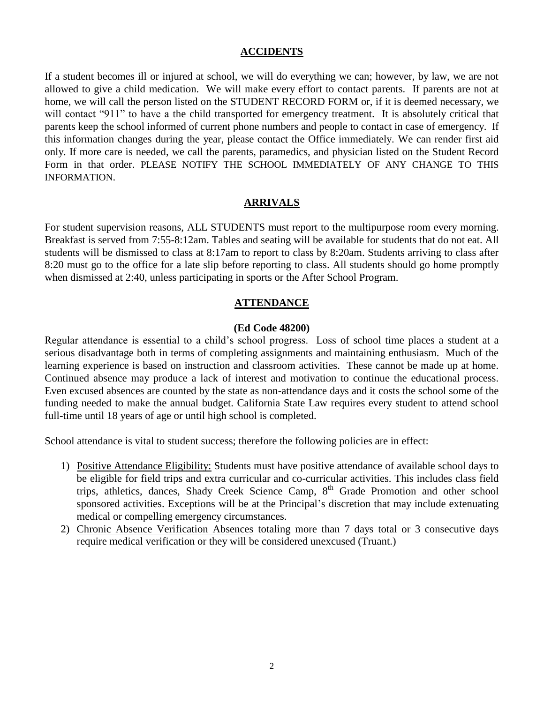#### **ACCIDENTS**

If a student becomes ill or injured at school, we will do everything we can; however, by law, we are not allowed to give a child medication. We will make every effort to contact parents. If parents are not at home, we will call the person listed on the STUDENT RECORD FORM or, if it is deemed necessary, we will contact "911" to have a the child transported for emergency treatment. It is absolutely critical that parents keep the school informed of current phone numbers and people to contact in case of emergency. If this information changes during the year, please contact the Office immediately. We can render first aid only. If more care is needed, we call the parents, paramedics, and physician listed on the Student Record Form in that order. PLEASE NOTIFY THE SCHOOL IMMEDIATELY OF ANY CHANGE TO THIS INFORMATION.

#### **ARRIVALS**

For student supervision reasons, ALL STUDENTS must report to the multipurpose room every morning. Breakfast is served from 7:55-8:12am. Tables and seating will be available for students that do not eat. All students will be dismissed to class at 8:17am to report to class by 8:20am. Students arriving to class after 8:20 must go to the office for a late slip before reporting to class. All students should go home promptly when dismissed at 2:40, unless participating in sports or the After School Program.

#### **ATTENDANCE**

#### **(Ed Code 48200)**

Regular attendance is essential to a child's school progress. Loss of school time places a student at a serious disadvantage both in terms of completing assignments and maintaining enthusiasm. Much of the learning experience is based on instruction and classroom activities. These cannot be made up at home. Continued absence may produce a lack of interest and motivation to continue the educational process. Even excused absences are counted by the state as non-attendance days and it costs the school some of the funding needed to make the annual budget. California State Law requires every student to attend school full-time until 18 years of age or until high school is completed.

School attendance is vital to student success; therefore the following policies are in effect:

- 1) Positive Attendance Eligibility: Students must have positive attendance of available school days to be eligible for field trips and extra curricular and co-curricular activities. This includes class field trips, athletics, dances, Shady Creek Science Camp, 8<sup>th</sup> Grade Promotion and other school sponsored activities. Exceptions will be at the Principal's discretion that may include extenuating medical or compelling emergency circumstances.
- 2) Chronic Absence Verification Absences totaling more than 7 days total or 3 consecutive days require medical verification or they will be considered unexcused (Truant.)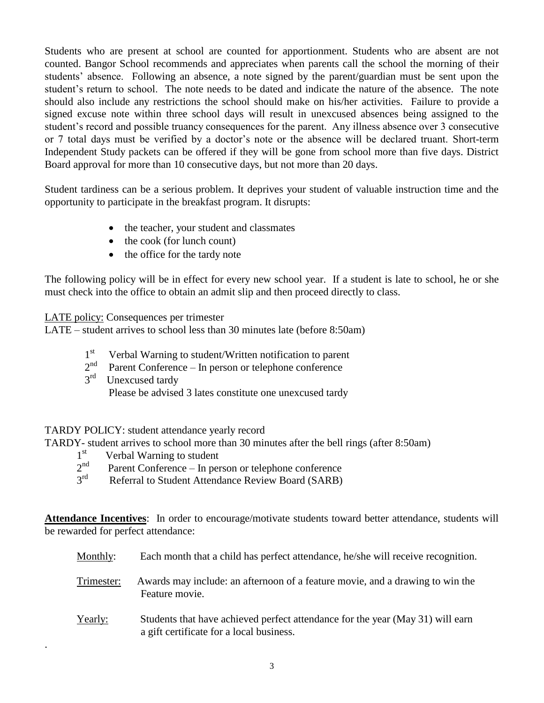Students who are present at school are counted for apportionment. Students who are absent are not counted. Bangor School recommends and appreciates when parents call the school the morning of their students' absence. Following an absence, a note signed by the parent/guardian must be sent upon the student's return to school. The note needs to be dated and indicate the nature of the absence. The note should also include any restrictions the school should make on his/her activities. Failure to provide a signed excuse note within three school days will result in unexcused absences being assigned to the student's record and possible truancy consequences for the parent. Any illness absence over 3 consecutive or 7 total days must be verified by a doctor's note or the absence will be declared truant. Short-term Independent Study packets can be offered if they will be gone from school more than five days. District Board approval for more than 10 consecutive days, but not more than 20 days.

Student tardiness can be a serious problem. It deprives your student of valuable instruction time and the opportunity to participate in the breakfast program. It disrupts:

- the teacher, your student and classmates
- $\bullet$  the cook (for lunch count)
- the office for the tardy note

The following policy will be in effect for every new school year. If a student is late to school, he or she must check into the office to obtain an admit slip and then proceed directly to class.

LATE policy: Consequences per trimester

LATE – student arrives to school less than 30 minutes late (before 8:50am)

- $1<sup>st</sup>$ Verbal Warning to student/Written notification to parent
- $2<sup>nd</sup>$ Parent Conference – In person or telephone conference
- 3 rd Unexcused tardy Please be advised 3 lates constitute one unexcused tardy

# TARDY POLICY: student attendance yearly record

TARDY- student arrives to school more than 30 minutes after the bell rings (after 8:50am)

1 st Verbal Warning to student

.

- $2<sup>nd</sup>$ Parent Conference – In person or telephone conference
- 3 rd Referral to Student Attendance Review Board (SARB)

**Attendance Incentives**: In order to encourage/motivate students toward better attendance, students will be rewarded for perfect attendance:

| Monthly:   | Each month that a child has perfect attendance, he/she will receive recognition.                                           |
|------------|----------------------------------------------------------------------------------------------------------------------------|
| Trimester: | Awards may include: an afternoon of a feature movie, and a drawing to win the<br>Feature movie.                            |
| Yearly:    | Students that have achieved perfect attendance for the year (May 31) will earn<br>a gift certificate for a local business. |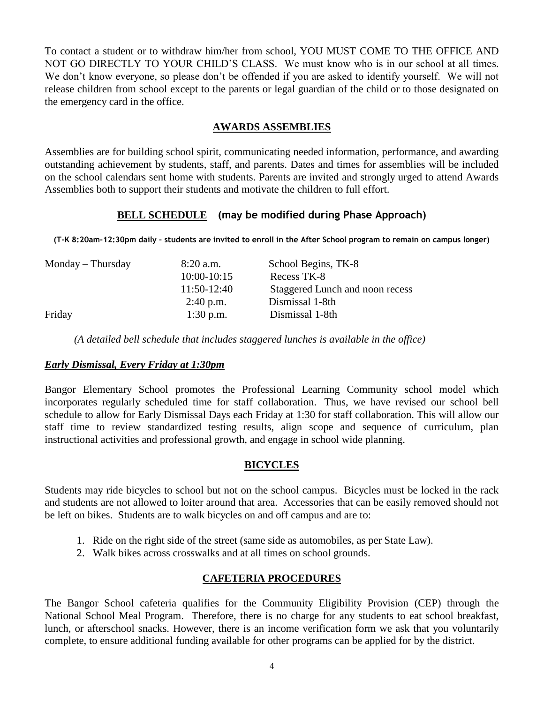To contact a student or to withdraw him/her from school, YOU MUST COME TO THE OFFICE AND NOT GO DIRECTLY TO YOUR CHILD'S CLASS. We must know who is in our school at all times. We don't know everyone, so please don't be offended if you are asked to identify yourself. We will not release children from school except to the parents or legal guardian of the child or to those designated on the emergency card in the office.

# **AWARDS ASSEMBLIES**

Assemblies are for building school spirit, communicating needed information, performance, and awarding outstanding achievement by students, staff, and parents. Dates and times for assemblies will be included on the school calendars sent home with students. Parents are invited and strongly urged to attend Awards Assemblies both to support their students and motivate the children to full effort.

# **BELL SCHEDULE (may be modified during Phase Approach)**

**(T-K 8:20am-12:30pm daily – students are invited to enroll in the After School program to remain on campus longer)**

| Monday – Thursday | $8:20$ a.m.     | School Begins, TK-8             |
|-------------------|-----------------|---------------------------------|
|                   | $10:00 - 10:15$ | Recess TK-8                     |
|                   | $11:50-12:40$   | Staggered Lunch and noon recess |
|                   | $2:40$ p.m.     | Dismissal 1-8th                 |
| Friday            | $1:30$ p.m.     | Dismissal 1-8th                 |
|                   |                 |                                 |

 *(A detailed bell schedule that includes staggered lunches is available in the office)*

# *Early Dismissal, Every Friday at 1:30pm*

Bangor Elementary School promotes the Professional Learning Community school model which incorporates regularly scheduled time for staff collaboration. Thus, we have revised our school bell schedule to allow for Early Dismissal Days each Friday at 1:30 for staff collaboration. This will allow our staff time to review standardized testing results, align scope and sequence of curriculum, plan instructional activities and professional growth, and engage in school wide planning.

# **BICYCLES**

Students may ride bicycles to school but not on the school campus. Bicycles must be locked in the rack and students are not allowed to loiter around that area. Accessories that can be easily removed should not be left on bikes. Students are to walk bicycles on and off campus and are to:

- 1. Ride on the right side of the street (same side as automobiles, as per State Law).
- 2. Walk bikes across crosswalks and at all times on school grounds.

# **CAFETERIA PROCEDURES**

The Bangor School cafeteria qualifies for the Community Eligibility Provision (CEP) through the National School Meal Program. Therefore, there is no charge for any students to eat school breakfast, lunch, or afterschool snacks. However, there is an income verification form we ask that you voluntarily complete, to ensure additional funding available for other programs can be applied for by the district.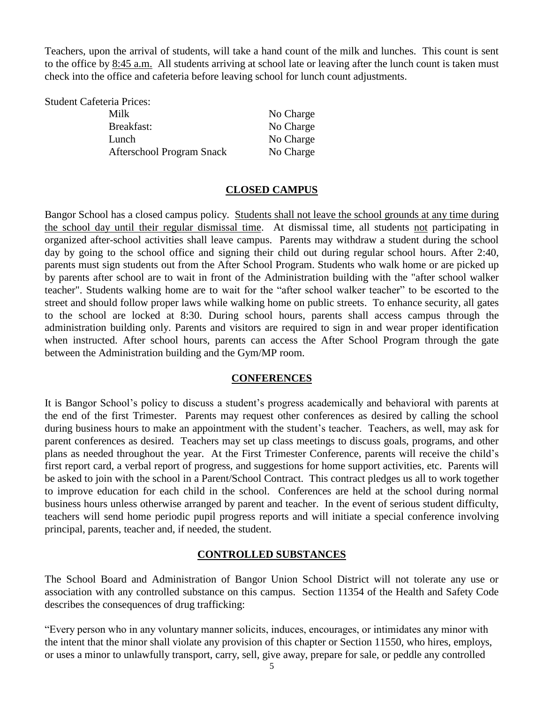Teachers, upon the arrival of students, will take a hand count of the milk and lunches. This count is sent to the office by 8:45 a.m. All students arriving at school late or leaving after the lunch count is taken must check into the office and cafeteria before leaving school for lunch count adjustments.

| <b>Student Cafeteria Prices:</b> |           |
|----------------------------------|-----------|
| Milk                             | No Charge |
| Breakfast:                       | No Charge |
| Lunch                            | No Charge |
| Afterschool Program Snack        | No Charge |

### **CLOSED CAMPUS**

Bangor School has a closed campus policy. Students shall not leave the school grounds at any time during the school day until their regular dismissal time. At dismissal time, all students not participating in organized after-school activities shall leave campus. Parents may withdraw a student during the school day by going to the school office and signing their child out during regular school hours. After 2:40, parents must sign students out from the After School Program. Students who walk home or are picked up by parents after school are to wait in front of the Administration building with the "after school walker teacher". Students walking home are to wait for the "after school walker teacher" to be escorted to the street and should follow proper laws while walking home on public streets. To enhance security, all gates to the school are locked at 8:30. During school hours, parents shall access campus through the administration building only. Parents and visitors are required to sign in and wear proper identification when instructed. After school hours, parents can access the After School Program through the gate between the Administration building and the Gym/MP room.

#### **CONFERENCES**

It is Bangor School's policy to discuss a student's progress academically and behavioral with parents at the end of the first Trimester. Parents may request other conferences as desired by calling the school during business hours to make an appointment with the student's teacher. Teachers, as well, may ask for parent conferences as desired. Teachers may set up class meetings to discuss goals, programs, and other plans as needed throughout the year. At the First Trimester Conference, parents will receive the child's first report card, a verbal report of progress, and suggestions for home support activities, etc. Parents will be asked to join with the school in a Parent/School Contract. This contract pledges us all to work together to improve education for each child in the school. Conferences are held at the school during normal business hours unless otherwise arranged by parent and teacher. In the event of serious student difficulty, teachers will send home periodic pupil progress reports and will initiate a special conference involving principal, parents, teacher and, if needed, the student.

# **CONTROLLED SUBSTANCES**

The School Board and Administration of Bangor Union School District will not tolerate any use or association with any controlled substance on this campus. Section 11354 of the Health and Safety Code describes the consequences of drug trafficking:

"Every person who in any voluntary manner solicits, induces, encourages, or intimidates any minor with the intent that the minor shall violate any provision of this chapter or Section 11550, who hires, employs, or uses a minor to unlawfully transport, carry, sell, give away, prepare for sale, or peddle any controlled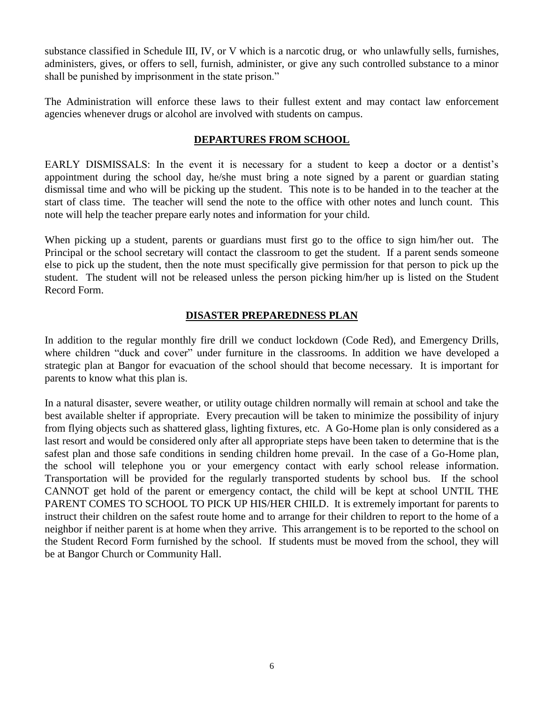substance classified in Schedule III, IV, or V which is a narcotic drug, or who unlawfully sells, furnishes, administers, gives, or offers to sell, furnish, administer, or give any such controlled substance to a minor shall be punished by imprisonment in the state prison."

The Administration will enforce these laws to their fullest extent and may contact law enforcement agencies whenever drugs or alcohol are involved with students on campus.

# **DEPARTURES FROM SCHOOL**

EARLY DISMISSALS: In the event it is necessary for a student to keep a doctor or a dentist's appointment during the school day, he/she must bring a note signed by a parent or guardian stating dismissal time and who will be picking up the student. This note is to be handed in to the teacher at the start of class time. The teacher will send the note to the office with other notes and lunch count. This note will help the teacher prepare early notes and information for your child.

When picking up a student, parents or guardians must first go to the office to sign him/her out. The Principal or the school secretary will contact the classroom to get the student. If a parent sends someone else to pick up the student, then the note must specifically give permission for that person to pick up the student. The student will not be released unless the person picking him/her up is listed on the Student Record Form.

# **DISASTER PREPAREDNESS PLAN**

In addition to the regular monthly fire drill we conduct lockdown (Code Red), and Emergency Drills, where children "duck and cover" under furniture in the classrooms. In addition we have developed a strategic plan at Bangor for evacuation of the school should that become necessary. It is important for parents to know what this plan is.

In a natural disaster, severe weather, or utility outage children normally will remain at school and take the best available shelter if appropriate. Every precaution will be taken to minimize the possibility of injury from flying objects such as shattered glass, lighting fixtures, etc. A Go-Home plan is only considered as a last resort and would be considered only after all appropriate steps have been taken to determine that is the safest plan and those safe conditions in sending children home prevail. In the case of a Go-Home plan, the school will telephone you or your emergency contact with early school release information. Transportation will be provided for the regularly transported students by school bus. If the school CANNOT get hold of the parent or emergency contact, the child will be kept at school UNTIL THE PARENT COMES TO SCHOOL TO PICK UP HIS/HER CHILD. It is extremely important for parents to instruct their children on the safest route home and to arrange for their children to report to the home of a neighbor if neither parent is at home when they arrive. This arrangement is to be reported to the school on the Student Record Form furnished by the school. If students must be moved from the school, they will be at Bangor Church or Community Hall.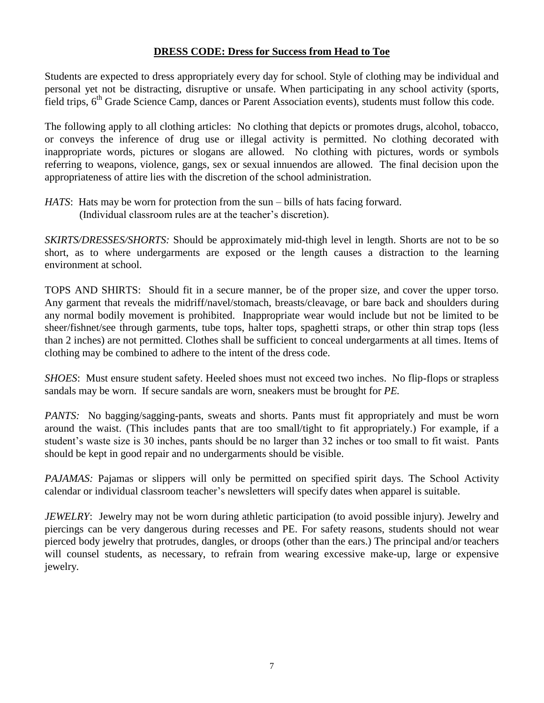### **DRESS CODE: Dress for Success from Head to Toe**

Students are expected to dress appropriately every day for school. Style of clothing may be individual and personal yet not be distracting, disruptive or unsafe. When participating in any school activity (sports, field trips, 6<sup>th</sup> Grade Science Camp, dances or Parent Association events), students must follow this code.

The following apply to all clothing articles: No clothing that depicts or promotes drugs, alcohol, tobacco, or conveys the inference of drug use or illegal activity is permitted. No clothing decorated with inappropriate words, pictures or slogans are allowed. No clothing with pictures, words or symbols referring to weapons, violence, gangs, sex or sexual innuendos are allowed. The final decision upon the appropriateness of attire lies with the discretion of the school administration.

*HATS*: Hats may be worn for protection from the sun – bills of hats facing forward. (Individual classroom rules are at the teacher's discretion).

*SKIRTS/DRESSES/SHORTS:* Should be approximately mid-thigh level in length. Shorts are not to be so short, as to where undergarments are exposed or the length causes a distraction to the learning environment at school.

TOPS AND SHIRTS: Should fit in a secure manner, be of the proper size, and cover the upper torso. Any garment that reveals the midriff/navel/stomach, breasts/cleavage, or bare back and shoulders during any normal bodily movement is prohibited. Inappropriate wear would include but not be limited to be sheer/fishnet/see through garments, tube tops, halter tops, spaghetti straps, or other thin strap tops (less than 2 inches) are not permitted. Clothes shall be sufficient to conceal undergarments at all times. Items of clothing may be combined to adhere to the intent of the dress code.

*SHOES*: Must ensure student safety. Heeled shoes must not exceed two inches. No flip-flops or strapless sandals may be worn. If secure sandals are worn, sneakers must be brought for *PE.*

*PANTS:* No bagging/sagging-pants, sweats and shorts. Pants must fit appropriately and must be worn around the waist. (This includes pants that are too small/tight to fit appropriately.) For example, if a student's waste size is 30 inches, pants should be no larger than 32 inches or too small to fit waist. Pants should be kept in good repair and no undergarments should be visible.

*PAJAMAS:* Pajamas or slippers will only be permitted on specified spirit days. The School Activity calendar or individual classroom teacher's newsletters will specify dates when apparel is suitable.

*JEWELRY*: Jewelry may not be worn during athletic participation (to avoid possible injury). Jewelry and piercings can be very dangerous during recesses and PE. For safety reasons, students should not wear pierced body jewelry that protrudes, dangles, or droops (other than the ears.) The principal and/or teachers will counsel students, as necessary, to refrain from wearing excessive make-up, large or expensive jewelry.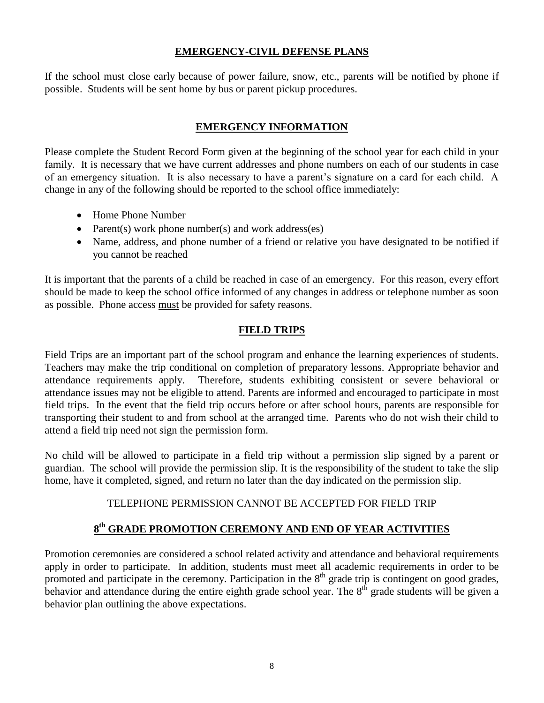# **EMERGENCY-CIVIL DEFENSE PLANS**

If the school must close early because of power failure, snow, etc., parents will be notified by phone if possible. Students will be sent home by bus or parent pickup procedures.

# **EMERGENCY INFORMATION**

Please complete the Student Record Form given at the beginning of the school year for each child in your family. It is necessary that we have current addresses and phone numbers on each of our students in case of an emergency situation. It is also necessary to have a parent's signature on a card for each child. A change in any of the following should be reported to the school office immediately:

- Home Phone Number
- Parent(s) work phone number(s) and work address(es)
- Name, address, and phone number of a friend or relative you have designated to be notified if you cannot be reached

It is important that the parents of a child be reached in case of an emergency. For this reason, every effort should be made to keep the school office informed of any changes in address or telephone number as soon as possible. Phone access must be provided for safety reasons.

# **FIELD TRIPS**

Field Trips are an important part of the school program and enhance the learning experiences of students. Teachers may make the trip conditional on completion of preparatory lessons. Appropriate behavior and attendance requirements apply. Therefore, students exhibiting consistent or severe behavioral or attendance issues may not be eligible to attend. Parents are informed and encouraged to participate in most field trips. In the event that the field trip occurs before or after school hours, parents are responsible for transporting their student to and from school at the arranged time. Parents who do not wish their child to attend a field trip need not sign the permission form.

No child will be allowed to participate in a field trip without a permission slip signed by a parent or guardian. The school will provide the permission slip. It is the responsibility of the student to take the slip home, have it completed, signed, and return no later than the day indicated on the permission slip.

# TELEPHONE PERMISSION CANNOT BE ACCEPTED FOR FIELD TRIP

# **8 th GRADE PROMOTION CEREMONY AND END OF YEAR ACTIVITIES**

Promotion ceremonies are considered a school related activity and attendance and behavioral requirements apply in order to participate. In addition, students must meet all academic requirements in order to be promoted and participate in the ceremony. Participation in the  $8<sup>th</sup>$  grade trip is contingent on good grades, behavior and attendance during the entire eighth grade school year. The  $8<sup>th</sup>$  grade students will be given a behavior plan outlining the above expectations.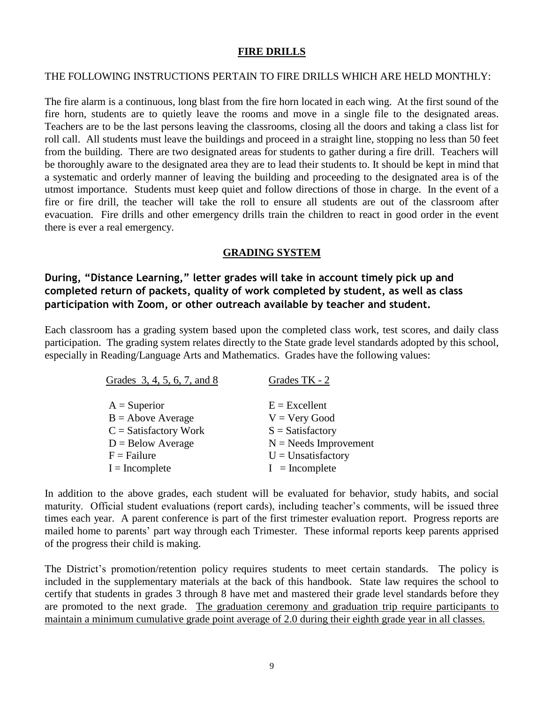#### **FIRE DRILLS**

#### THE FOLLOWING INSTRUCTIONS PERTAIN TO FIRE DRILLS WHICH ARE HELD MONTHLY:

The fire alarm is a continuous, long blast from the fire horn located in each wing. At the first sound of the fire horn, students are to quietly leave the rooms and move in a single file to the designated areas. Teachers are to be the last persons leaving the classrooms, closing all the doors and taking a class list for roll call. All students must leave the buildings and proceed in a straight line, stopping no less than 50 feet from the building. There are two designated areas for students to gather during a fire drill. Teachers will be thoroughly aware to the designated area they are to lead their students to. It should be kept in mind that a systematic and orderly manner of leaving the building and proceeding to the designated area is of the utmost importance. Students must keep quiet and follow directions of those in charge. In the event of a fire or fire drill, the teacher will take the roll to ensure all students are out of the classroom after evacuation. Fire drills and other emergency drills train the children to react in good order in the event there is ever a real emergency.

### **GRADING SYSTEM**

**During, "Distance Learning," letter grades will take in account timely pick up and completed return of packets, quality of work completed by student, as well as class participation with Zoom, or other outreach available by teacher and student.** 

Each classroom has a grading system based upon the completed class work, test scores, and daily class participation. The grading system relates directly to the State grade level standards adopted by this school, especially in Reading/Language Arts and Mathematics. Grades have the following values:

| Grades 3, 4, 5, 6, 7, and 8 | Grades TK - 2           |
|-----------------------------|-------------------------|
| $A =$ Superior              | $E = Excellent$         |
| $B =$ Above Average         | $V = V$ ery Good        |
| $C = Satisfactory Work$     | $S = Satisfactory$      |
| $D =$ Below Average         | $N =$ Needs Improvement |
| $F = Failure$               | $U =$ Unsatisfactory    |
| $I = Incomplete$            | $I = Incomplete$        |

In addition to the above grades, each student will be evaluated for behavior, study habits, and social maturity. Official student evaluations (report cards), including teacher's comments, will be issued three times each year. A parent conference is part of the first trimester evaluation report. Progress reports are mailed home to parents' part way through each Trimester. These informal reports keep parents apprised of the progress their child is making.

The District's promotion/retention policy requires students to meet certain standards. The policy is included in the supplementary materials at the back of this handbook. State law requires the school to certify that students in grades 3 through 8 have met and mastered their grade level standards before they are promoted to the next grade. The graduation ceremony and graduation trip require participants to maintain a minimum cumulative grade point average of 2.0 during their eighth grade year in all classes.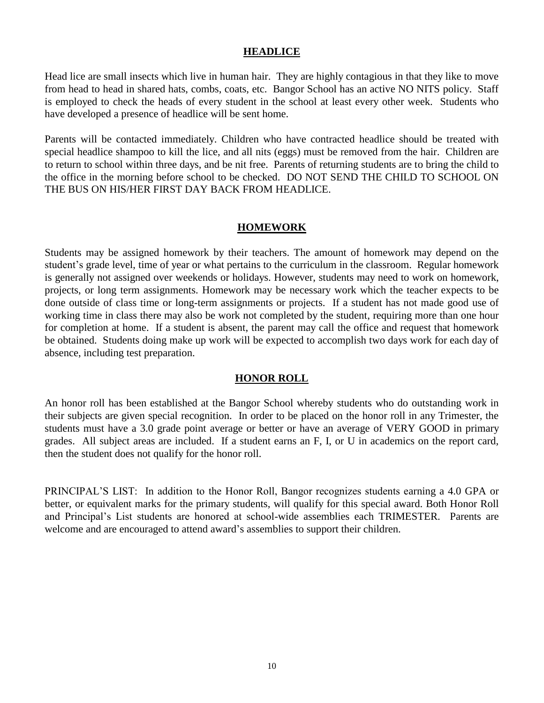#### **HEADLICE**

Head lice are small insects which live in human hair. They are highly contagious in that they like to move from head to head in shared hats, combs, coats, etc. Bangor School has an active NO NITS policy. Staff is employed to check the heads of every student in the school at least every other week. Students who have developed a presence of headlice will be sent home.

Parents will be contacted immediately. Children who have contracted headlice should be treated with special headlice shampoo to kill the lice, and all nits (eggs) must be removed from the hair. Children are to return to school within three days, and be nit free. Parents of returning students are to bring the child to the office in the morning before school to be checked. DO NOT SEND THE CHILD TO SCHOOL ON THE BUS ON HIS/HER FIRST DAY BACK FROM HEADLICE.

#### **HOMEWORK**

Students may be assigned homework by their teachers. The amount of homework may depend on the student's grade level, time of year or what pertains to the curriculum in the classroom. Regular homework is generally not assigned over weekends or holidays. However, students may need to work on homework, projects, or long term assignments. Homework may be necessary work which the teacher expects to be done outside of class time or long-term assignments or projects. If a student has not made good use of working time in class there may also be work not completed by the student, requiring more than one hour for completion at home. If a student is absent, the parent may call the office and request that homework be obtained. Students doing make up work will be expected to accomplish two days work for each day of absence, including test preparation.

#### **HONOR ROLL**

An honor roll has been established at the Bangor School whereby students who do outstanding work in their subjects are given special recognition. In order to be placed on the honor roll in any Trimester, the students must have a 3.0 grade point average or better or have an average of VERY GOOD in primary grades. All subject areas are included. If a student earns an F, I, or U in academics on the report card, then the student does not qualify for the honor roll.

PRINCIPAL'S LIST: In addition to the Honor Roll, Bangor recognizes students earning a 4.0 GPA or better, or equivalent marks for the primary students, will qualify for this special award. Both Honor Roll and Principal's List students are honored at school-wide assemblies each TRIMESTER. Parents are welcome and are encouraged to attend award's assemblies to support their children.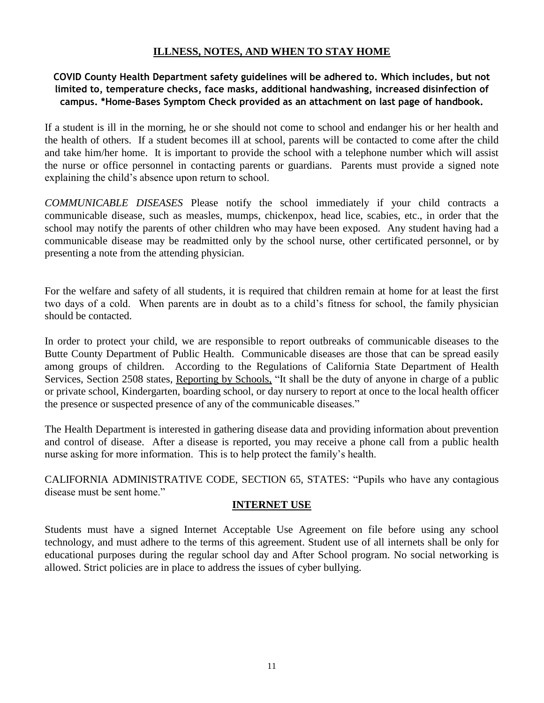# **ILLNESS, NOTES, AND WHEN TO STAY HOME**

# **COVID County Health Department safety guidelines will be adhered to. Which includes, but not limited to, temperature checks, face masks, additional handwashing, increased disinfection of campus. \*Home-Bases Symptom Check provided as an attachment on last page of handbook.**

If a student is ill in the morning, he or she should not come to school and endanger his or her health and the health of others. If a student becomes ill at school, parents will be contacted to come after the child and take him/her home. It is important to provide the school with a telephone number which will assist the nurse or office personnel in contacting parents or guardians. Parents must provide a signed note explaining the child's absence upon return to school.

*COMMUNICABLE DISEASES* Please notify the school immediately if your child contracts a communicable disease, such as measles, mumps, chickenpox, head lice, scabies, etc., in order that the school may notify the parents of other children who may have been exposed. Any student having had a communicable disease may be readmitted only by the school nurse, other certificated personnel, or by presenting a note from the attending physician.

For the welfare and safety of all students, it is required that children remain at home for at least the first two days of a cold. When parents are in doubt as to a child's fitness for school, the family physician should be contacted.

In order to protect your child, we are responsible to report outbreaks of communicable diseases to the Butte County Department of Public Health. Communicable diseases are those that can be spread easily among groups of children. According to the Regulations of California State Department of Health Services, Section 2508 states, Reporting by Schools, "It shall be the duty of anyone in charge of a public or private school, Kindergarten, boarding school, or day nursery to report at once to the local health officer the presence or suspected presence of any of the communicable diseases."

The Health Department is interested in gathering disease data and providing information about prevention and control of disease. After a disease is reported, you may receive a phone call from a public health nurse asking for more information. This is to help protect the family's health.

CALIFORNIA ADMINISTRATIVE CODE, SECTION 65, STATES: "Pupils who have any contagious disease must be sent home."

# **INTERNET USE**

Students must have a signed Internet Acceptable Use Agreement on file before using any school technology, and must adhere to the terms of this agreement. Student use of all internets shall be only for educational purposes during the regular school day and After School program. No social networking is allowed. Strict policies are in place to address the issues of cyber bullying.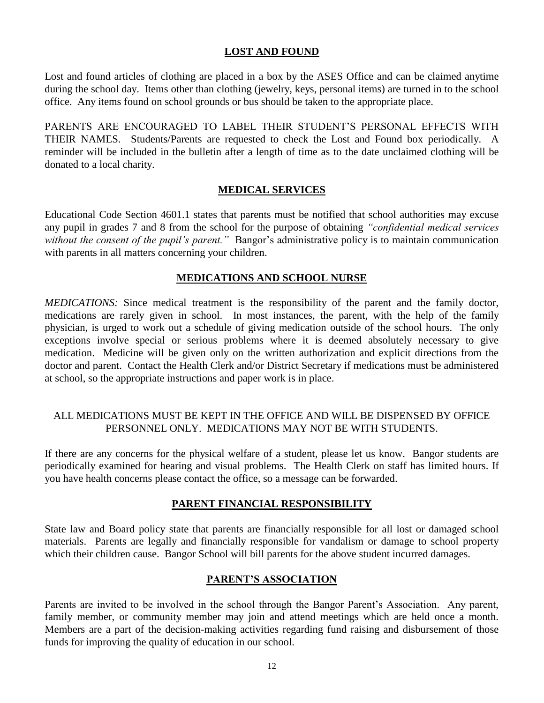### **LOST AND FOUND**

Lost and found articles of clothing are placed in a box by the ASES Office and can be claimed anytime during the school day. Items other than clothing (jewelry, keys, personal items) are turned in to the school office. Any items found on school grounds or bus should be taken to the appropriate place.

PARENTS ARE ENCOURAGED TO LABEL THEIR STUDENT'S PERSONAL EFFECTS WITH THEIR NAMES. Students/Parents are requested to check the Lost and Found box periodically. A reminder will be included in the bulletin after a length of time as to the date unclaimed clothing will be donated to a local charity.

#### **MEDICAL SERVICES**

Educational Code Section 4601.1 states that parents must be notified that school authorities may excuse any pupil in grades 7 and 8 from the school for the purpose of obtaining *"confidential medical services without the consent of the pupil's parent."* Bangor's administrative policy is to maintain communication with parents in all matters concerning your children.

### **MEDICATIONS AND SCHOOL NURSE**

*MEDICATIONS:* Since medical treatment is the responsibility of the parent and the family doctor, medications are rarely given in school. In most instances, the parent, with the help of the family physician, is urged to work out a schedule of giving medication outside of the school hours. The only exceptions involve special or serious problems where it is deemed absolutely necessary to give medication. Medicine will be given only on the written authorization and explicit directions from the doctor and parent. Contact the Health Clerk and/or District Secretary if medications must be administered at school, so the appropriate instructions and paper work is in place.

# ALL MEDICATIONS MUST BE KEPT IN THE OFFICE AND WILL BE DISPENSED BY OFFICE PERSONNEL ONLY. MEDICATIONS MAY NOT BE WITH STUDENTS.

If there are any concerns for the physical welfare of a student, please let us know. Bangor students are periodically examined for hearing and visual problems. The Health Clerk on staff has limited hours. If you have health concerns please contact the office, so a message can be forwarded.

# **PARENT FINANCIAL RESPONSIBILITY**

State law and Board policy state that parents are financially responsible for all lost or damaged school materials. Parents are legally and financially responsible for vandalism or damage to school property which their children cause. Bangor School will bill parents for the above student incurred damages.

#### **PARENT'S ASSOCIATION**

Parents are invited to be involved in the school through the Bangor Parent's Association. Any parent, family member, or community member may join and attend meetings which are held once a month. Members are a part of the decision-making activities regarding fund raising and disbursement of those funds for improving the quality of education in our school.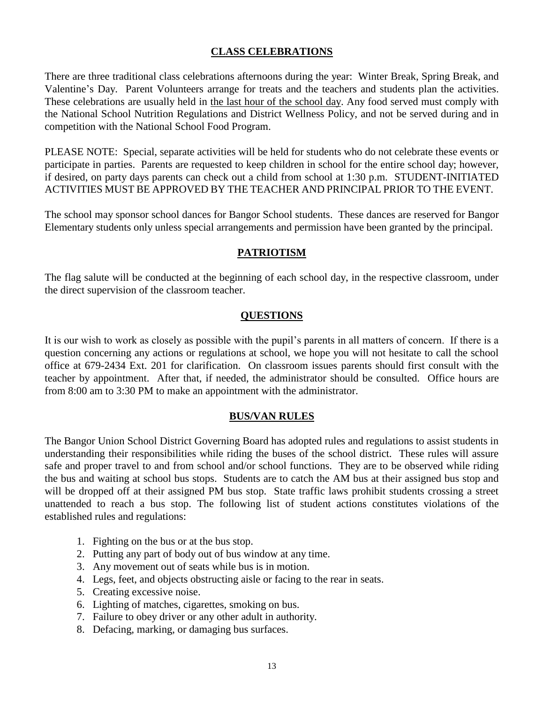### **CLASS CELEBRATIONS**

There are three traditional class celebrations afternoons during the year: Winter Break, Spring Break, and Valentine's Day. Parent Volunteers arrange for treats and the teachers and students plan the activities. These celebrations are usually held in the last hour of the school day. Any food served must comply with the National School Nutrition Regulations and District Wellness Policy, and not be served during and in competition with the National School Food Program.

PLEASE NOTE: Special, separate activities will be held for students who do not celebrate these events or participate in parties. Parents are requested to keep children in school for the entire school day; however, if desired, on party days parents can check out a child from school at 1:30 p.m. STUDENT-INITIATED ACTIVITIES MUST BE APPROVED BY THE TEACHER AND PRINCIPAL PRIOR TO THE EVENT.

The school may sponsor school dances for Bangor School students. These dances are reserved for Bangor Elementary students only unless special arrangements and permission have been granted by the principal.

#### **PATRIOTISM**

The flag salute will be conducted at the beginning of each school day, in the respective classroom, under the direct supervision of the classroom teacher.

# **QUESTIONS**

It is our wish to work as closely as possible with the pupil's parents in all matters of concern. If there is a question concerning any actions or regulations at school, we hope you will not hesitate to call the school office at 679-2434 Ext. 201 for clarification. On classroom issues parents should first consult with the teacher by appointment. After that, if needed, the administrator should be consulted. Office hours are from 8:00 am to 3:30 PM to make an appointment with the administrator.

# **BUS/VAN RULES**

The Bangor Union School District Governing Board has adopted rules and regulations to assist students in understanding their responsibilities while riding the buses of the school district. These rules will assure safe and proper travel to and from school and/or school functions. They are to be observed while riding the bus and waiting at school bus stops. Students are to catch the AM bus at their assigned bus stop and will be dropped off at their assigned PM bus stop. State traffic laws prohibit students crossing a street unattended to reach a bus stop. The following list of student actions constitutes violations of the established rules and regulations:

- 1. Fighting on the bus or at the bus stop.
- 2. Putting any part of body out of bus window at any time.
- 3. Any movement out of seats while bus is in motion.
- 4. Legs, feet, and objects obstructing aisle or facing to the rear in seats.
- 5. Creating excessive noise.
- 6. Lighting of matches, cigarettes, smoking on bus.
- 7. Failure to obey driver or any other adult in authority.
- 8. Defacing, marking, or damaging bus surfaces.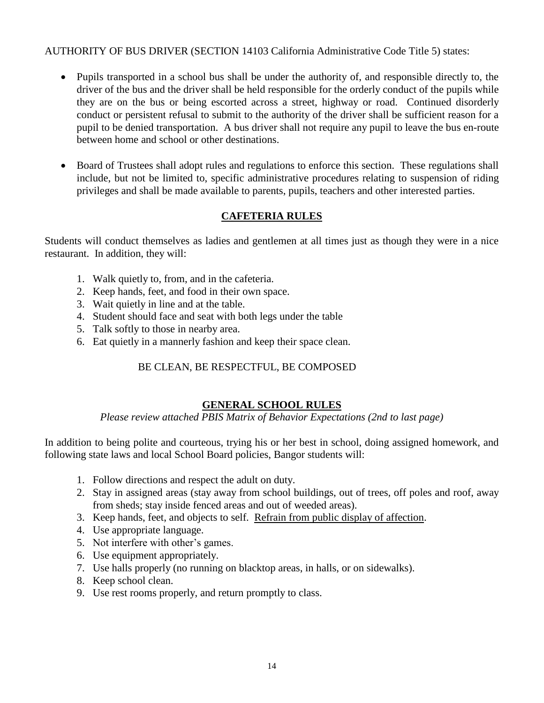# AUTHORITY OF BUS DRIVER (SECTION 14103 California Administrative Code Title 5) states:

- Pupils transported in a school bus shall be under the authority of, and responsible directly to, the driver of the bus and the driver shall be held responsible for the orderly conduct of the pupils while they are on the bus or being escorted across a street, highway or road. Continued disorderly conduct or persistent refusal to submit to the authority of the driver shall be sufficient reason for a pupil to be denied transportation. A bus driver shall not require any pupil to leave the bus en-route between home and school or other destinations.
- Board of Trustees shall adopt rules and regulations to enforce this section. These regulations shall include, but not be limited to, specific administrative procedures relating to suspension of riding privileges and shall be made available to parents, pupils, teachers and other interested parties.

# **CAFETERIA RULES**

Students will conduct themselves as ladies and gentlemen at all times just as though they were in a nice restaurant. In addition, they will:

- 1. Walk quietly to, from, and in the cafeteria.
- 2. Keep hands, feet, and food in their own space.
- 3. Wait quietly in line and at the table.
- 4. Student should face and seat with both legs under the table
- 5. Talk softly to those in nearby area.
- 6. Eat quietly in a mannerly fashion and keep their space clean.

# BE CLEAN, BE RESPECTFUL, BE COMPOSED

# **GENERAL SCHOOL RULES**

*Please review attached PBIS Matrix of Behavior Expectations (2nd to last page)*

In addition to being polite and courteous, trying his or her best in school, doing assigned homework, and following state laws and local School Board policies, Bangor students will:

- 1. Follow directions and respect the adult on duty.
- 2. Stay in assigned areas (stay away from school buildings, out of trees, off poles and roof, away from sheds; stay inside fenced areas and out of weeded areas).
- 3. Keep hands, feet, and objects to self. Refrain from public display of affection.
- 4. Use appropriate language.
- 5. Not interfere with other's games.
- 6. Use equipment appropriately.
- 7. Use halls properly (no running on blacktop areas, in halls, or on sidewalks).
- 8. Keep school clean.
- 9. Use rest rooms properly, and return promptly to class.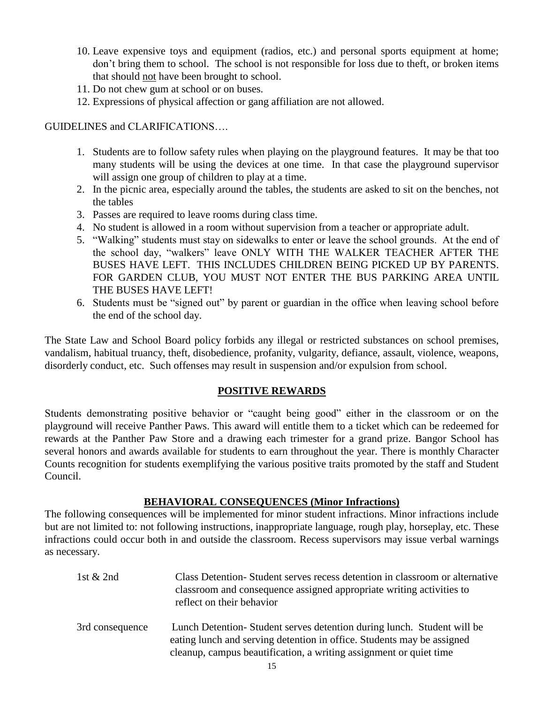- 10. Leave expensive toys and equipment (radios, etc.) and personal sports equipment at home; don't bring them to school. The school is not responsible for loss due to theft, or broken items that should not have been brought to school.
- 11. Do not chew gum at school or on buses.
- 12. Expressions of physical affection or gang affiliation are not allowed.

GUIDELINES and CLARIFICATIONS….

- 1. Students are to follow safety rules when playing on the playground features. It may be that too many students will be using the devices at one time. In that case the playground supervisor will assign one group of children to play at a time.
- 2. In the picnic area, especially around the tables, the students are asked to sit on the benches, not the tables
- 3. Passes are required to leave rooms during class time.
- 4. No student is allowed in a room without supervision from a teacher or appropriate adult.
- 5. "Walking" students must stay on sidewalks to enter or leave the school grounds. At the end of the school day, "walkers" leave ONLY WITH THE WALKER TEACHER AFTER THE BUSES HAVE LEFT. THIS INCLUDES CHILDREN BEING PICKED UP BY PARENTS. FOR GARDEN CLUB, YOU MUST NOT ENTER THE BUS PARKING AREA UNTIL THE BUSES HAVE LEFT!
- 6. Students must be "signed out" by parent or guardian in the office when leaving school before the end of the school day.

The State Law and School Board policy forbids any illegal or restricted substances on school premises, vandalism, habitual truancy, theft, disobedience, profanity, vulgarity, defiance, assault, violence, weapons, disorderly conduct, etc. Such offenses may result in suspension and/or expulsion from school.

# **POSITIVE REWARDS**

Students demonstrating positive behavior or "caught being good" either in the classroom or on the playground will receive Panther Paws. This award will entitle them to a ticket which can be redeemed for rewards at the Panther Paw Store and a drawing each trimester for a grand prize. Bangor School has several honors and awards available for students to earn throughout the year. There is monthly Character Counts recognition for students exemplifying the various positive traits promoted by the staff and Student Council.

# **BEHAVIORAL CONSEQUENCES (Minor Infractions)**

The following consequences will be implemented for minor student infractions. Minor infractions include but are not limited to: not following instructions, inappropriate language, rough play, horseplay, etc. These infractions could occur both in and outside the classroom. Recess supervisors may issue verbal warnings as necessary.

| 1st $& 2nd$     | Class Detention - Student serves recess detention in classroom or alternative<br>classroom and consequence assigned appropriate writing activities to<br>reflect on their behavior                                     |
|-----------------|------------------------------------------------------------------------------------------------------------------------------------------------------------------------------------------------------------------------|
| 3rd consequence | Lunch Detention-Student serves detention during lunch. Student will be<br>eating lunch and serving detention in office. Students may be assigned<br>cleanup, campus beautification, a writing assignment or quiet time |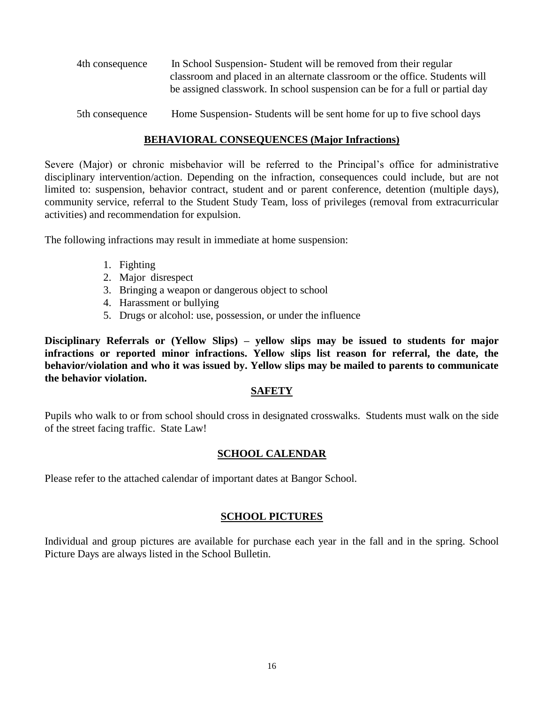| 4th consequence | In School Suspension-Student will be removed from their regular              |
|-----------------|------------------------------------------------------------------------------|
|                 | classroom and placed in an alternate classroom or the office. Students will  |
|                 | be assigned classwork. In school suspension can be for a full or partial day |
|                 |                                                                              |

5th consequence Home Suspension- Students will be sent home for up to five school days

### **BEHAVIORAL CONSEQUENCES (Major Infractions)**

Severe (Major) or chronic misbehavior will be referred to the Principal's office for administrative disciplinary intervention/action. Depending on the infraction, consequences could include, but are not limited to: suspension, behavior contract, student and or parent conference, detention (multiple days), community service, referral to the Student Study Team, loss of privileges (removal from extracurricular activities) and recommendation for expulsion.

The following infractions may result in immediate at home suspension:

- 1. Fighting
- 2. Major disrespect
- 3. Bringing a weapon or dangerous object to school
- 4. Harassment or bullying
- 5. Drugs or alcohol: use, possession, or under the influence

**Disciplinary Referrals or (Yellow Slips) – yellow slips may be issued to students for major infractions or reported minor infractions. Yellow slips list reason for referral, the date, the behavior/violation and who it was issued by. Yellow slips may be mailed to parents to communicate the behavior violation.** 

#### **SAFETY**

Pupils who walk to or from school should cross in designated crosswalks. Students must walk on the side of the street facing traffic. State Law!

# **SCHOOL CALENDAR**

Please refer to the attached calendar of important dates at Bangor School.

# **SCHOOL PICTURES**

Individual and group pictures are available for purchase each year in the fall and in the spring. School Picture Days are always listed in the School Bulletin.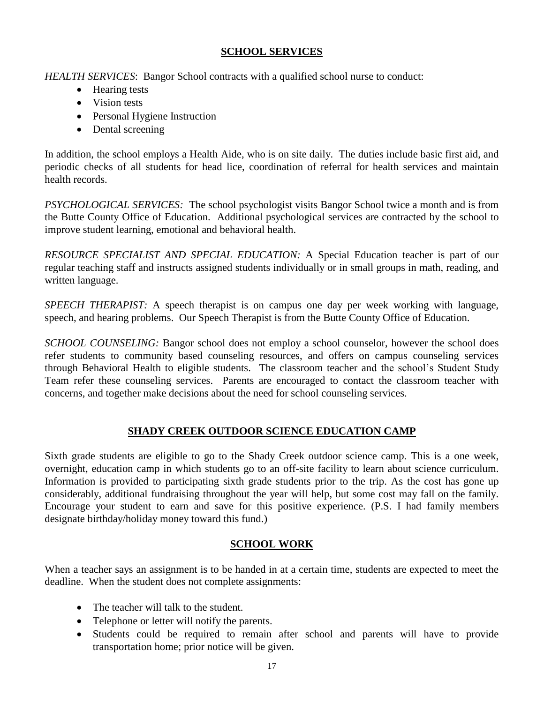# **SCHOOL SERVICES**

*HEALTH SERVICES*: Bangor School contracts with a qualified school nurse to conduct:

- Hearing tests
- Vision tests
- Personal Hygiene Instruction
- Dental screening

In addition, the school employs a Health Aide, who is on site daily. The duties include basic first aid, and periodic checks of all students for head lice, coordination of referral for health services and maintain health records.

*PSYCHOLOGICAL SERVICES:* The school psychologist visits Bangor School twice a month and is from the Butte County Office of Education. Additional psychological services are contracted by the school to improve student learning, emotional and behavioral health.

*RESOURCE SPECIALIST AND SPECIAL EDUCATION:* A Special Education teacher is part of our regular teaching staff and instructs assigned students individually or in small groups in math, reading, and written language.

*SPEECH THERAPIST:* A speech therapist is on campus one day per week working with language, speech, and hearing problems. Our Speech Therapist is from the Butte County Office of Education.

*SCHOOL COUNSELING:* Bangor school does not employ a school counselor, however the school does refer students to community based counseling resources, and offers on campus counseling services through Behavioral Health to eligible students. The classroom teacher and the school's Student Study Team refer these counseling services. Parents are encouraged to contact the classroom teacher with concerns, and together make decisions about the need for school counseling services.

# **SHADY CREEK OUTDOOR SCIENCE EDUCATION CAMP**

Sixth grade students are eligible to go to the Shady Creek outdoor science camp. This is a one week, overnight, education camp in which students go to an off-site facility to learn about science curriculum. Information is provided to participating sixth grade students prior to the trip. As the cost has gone up considerably, additional fundraising throughout the year will help, but some cost may fall on the family. Encourage your student to earn and save for this positive experience. (P.S. I had family members designate birthday/holiday money toward this fund.)

# **SCHOOL WORK**

When a teacher says an assignment is to be handed in at a certain time, students are expected to meet the deadline. When the student does not complete assignments:

- The teacher will talk to the student.
- Telephone or letter will notify the parents.
- Students could be required to remain after school and parents will have to provide transportation home; prior notice will be given.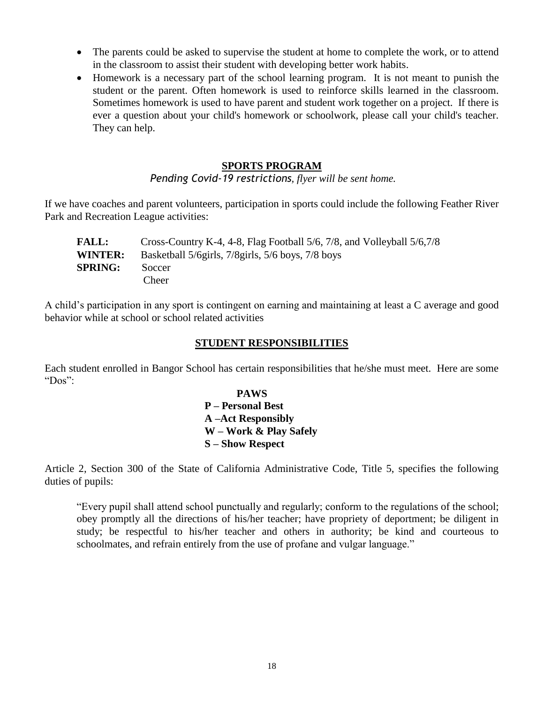- The parents could be asked to supervise the student at home to complete the work, or to attend in the classroom to assist their student with developing better work habits.
- Homework is a necessary part of the school learning program. It is not meant to punish the student or the parent. Often homework is used to reinforce skills learned in the classroom. Sometimes homework is used to have parent and student work together on a project. If there is ever a question about your child's homework or schoolwork, please call your child's teacher. They can help.

#### **SPORTS PROGRAM**

*Pending Covid-19 restrictions, flyer will be sent home.* 

If we have coaches and parent volunteers, participation in sports could include the following Feather River Park and Recreation League activities:

| <b>FALL:</b>   | Cross-Country K-4, 4-8, Flag Football 5/6, 7/8, and Volleyball 5/6,7/8 |
|----------------|------------------------------------------------------------------------|
| <b>WINTER:</b> | Basketball 5/6girls, 7/8girls, 5/6 boys, 7/8 boys                      |
| <b>SPRING:</b> | Soccer                                                                 |
|                | Cheer                                                                  |

A child's participation in any sport is contingent on earning and maintaining at least a C average and good behavior while at school or school related activities

#### **STUDENT RESPONSIBILITIES**

Each student enrolled in Bangor School has certain responsibilities that he/she must meet. Here are some "Dos":

> **PAWS P – Personal Best A –Act Responsibly W – Work & Play Safely S – Show Respect**

Article 2, Section 300 of the State of California Administrative Code, Title 5, specifies the following duties of pupils:

"Every pupil shall attend school punctually and regularly; conform to the regulations of the school; obey promptly all the directions of his/her teacher; have propriety of deportment; be diligent in study; be respectful to his/her teacher and others in authority; be kind and courteous to schoolmates, and refrain entirely from the use of profane and vulgar language."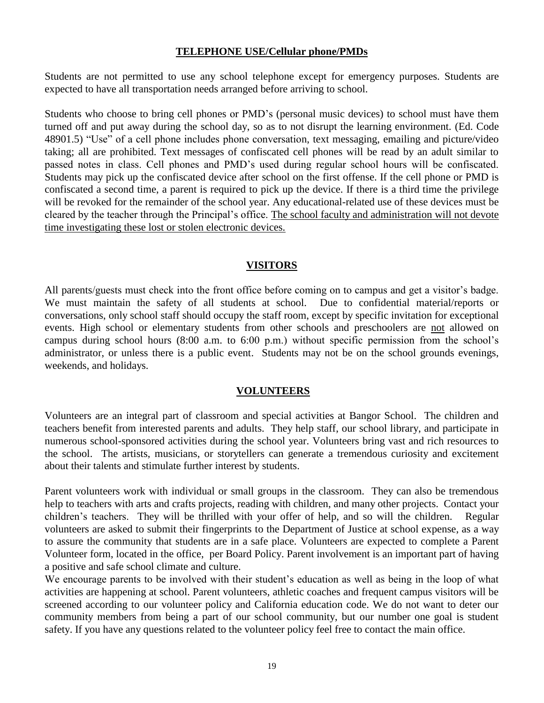#### **TELEPHONE USE/Cellular phone/PMDs**

Students are not permitted to use any school telephone except for emergency purposes. Students are expected to have all transportation needs arranged before arriving to school.

Students who choose to bring cell phones or PMD's (personal music devices) to school must have them turned off and put away during the school day, so as to not disrupt the learning environment. (Ed. Code 48901.5) "Use" of a cell phone includes phone conversation, text messaging, emailing and picture/video taking; all are prohibited. Text messages of confiscated cell phones will be read by an adult similar to passed notes in class. Cell phones and PMD's used during regular school hours will be confiscated. Students may pick up the confiscated device after school on the first offense. If the cell phone or PMD is confiscated a second time, a parent is required to pick up the device. If there is a third time the privilege will be revoked for the remainder of the school year. Any educational-related use of these devices must be cleared by the teacher through the Principal's office. The school faculty and administration will not devote time investigating these lost or stolen electronic devices.

### **VISITORS**

All parents/guests must check into the front office before coming on to campus and get a visitor's badge. We must maintain the safety of all students at school. Due to confidential material/reports or conversations, only school staff should occupy the staff room, except by specific invitation for exceptional events. High school or elementary students from other schools and preschoolers are not allowed on campus during school hours (8:00 a.m. to 6:00 p.m.) without specific permission from the school's administrator, or unless there is a public event. Students may not be on the school grounds evenings, weekends, and holidays.

# **VOLUNTEERS**

Volunteers are an integral part of classroom and special activities at Bangor School. The children and teachers benefit from interested parents and adults. They help staff, our school library, and participate in numerous school-sponsored activities during the school year. Volunteers bring vast and rich resources to the school. The artists, musicians, or storytellers can generate a tremendous curiosity and excitement about their talents and stimulate further interest by students.

Parent volunteers work with individual or small groups in the classroom. They can also be tremendous help to teachers with arts and crafts projects, reading with children, and many other projects. Contact your children's teachers. They will be thrilled with your offer of help, and so will the children. Regular volunteers are asked to submit their fingerprints to the Department of Justice at school expense, as a way to assure the community that students are in a safe place. Volunteers are expected to complete a Parent Volunteer form, located in the office, per Board Policy. Parent involvement is an important part of having a positive and safe school climate and culture.

We encourage parents to be involved with their student's education as well as being in the loop of what activities are happening at school. Parent volunteers, athletic coaches and frequent campus visitors will be screened according to our volunteer policy and California education code. We do not want to deter our community members from being a part of our school community, but our number one goal is student safety. If you have any questions related to the volunteer policy feel free to contact the main office.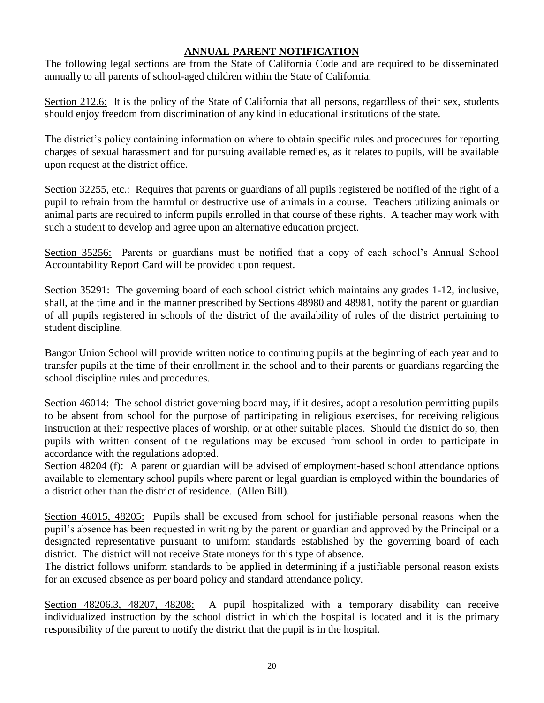# **ANNUAL PARENT NOTIFICATION**

The following legal sections are from the State of California Code and are required to be disseminated annually to all parents of school-aged children within the State of California.

Section 212.6: It is the policy of the State of California that all persons, regardless of their sex, students should enjoy freedom from discrimination of any kind in educational institutions of the state.

The district's policy containing information on where to obtain specific rules and procedures for reporting charges of sexual harassment and for pursuing available remedies, as it relates to pupils, will be available upon request at the district office.

Section 32255, etc.: Requires that parents or guardians of all pupils registered be notified of the right of a pupil to refrain from the harmful or destructive use of animals in a course. Teachers utilizing animals or animal parts are required to inform pupils enrolled in that course of these rights. A teacher may work with such a student to develop and agree upon an alternative education project.

Section 35256: Parents or guardians must be notified that a copy of each school's Annual School Accountability Report Card will be provided upon request.

Section 35291: The governing board of each school district which maintains any grades 1-12, inclusive, shall, at the time and in the manner prescribed by Sections 48980 and 48981, notify the parent or guardian of all pupils registered in schools of the district of the availability of rules of the district pertaining to student discipline.

Bangor Union School will provide written notice to continuing pupils at the beginning of each year and to transfer pupils at the time of their enrollment in the school and to their parents or guardians regarding the school discipline rules and procedures.

Section 46014: The school district governing board may, if it desires, adopt a resolution permitting pupils to be absent from school for the purpose of participating in religious exercises, for receiving religious instruction at their respective places of worship, or at other suitable places. Should the district do so, then pupils with written consent of the regulations may be excused from school in order to participate in accordance with the regulations adopted.

Section 48204 (f): A parent or guardian will be advised of employment-based school attendance options available to elementary school pupils where parent or legal guardian is employed within the boundaries of a district other than the district of residence. (Allen Bill).

Section 46015, 48205: Pupils shall be excused from school for justifiable personal reasons when the pupil's absence has been requested in writing by the parent or guardian and approved by the Principal or a designated representative pursuant to uniform standards established by the governing board of each district. The district will not receive State moneys for this type of absence.

The district follows uniform standards to be applied in determining if a justifiable personal reason exists for an excused absence as per board policy and standard attendance policy.

Section 48206.3, 48207, 48208: A pupil hospitalized with a temporary disability can receive individualized instruction by the school district in which the hospital is located and it is the primary responsibility of the parent to notify the district that the pupil is in the hospital.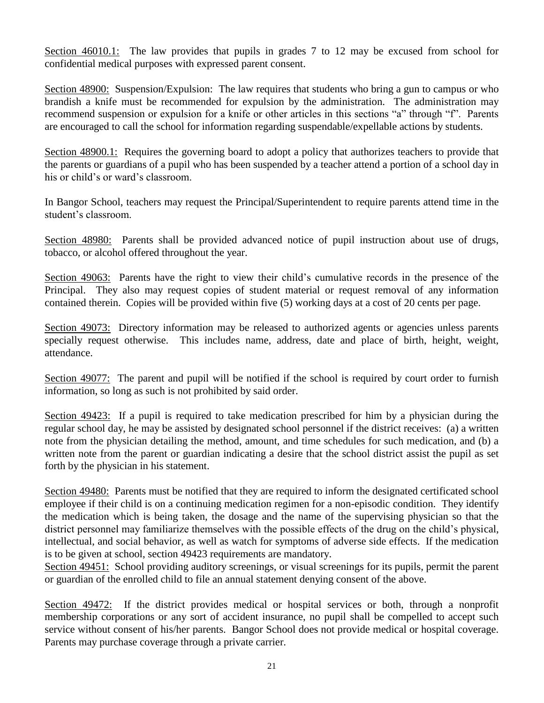Section 46010.1: The law provides that pupils in grades 7 to 12 may be excused from school for confidential medical purposes with expressed parent consent.

Section 48900: Suspension/Expulsion: The law requires that students who bring a gun to campus or who brandish a knife must be recommended for expulsion by the administration. The administration may recommend suspension or expulsion for a knife or other articles in this sections "a" through "f". Parents are encouraged to call the school for information regarding suspendable/expellable actions by students.

Section 48900.1: Requires the governing board to adopt a policy that authorizes teachers to provide that the parents or guardians of a pupil who has been suspended by a teacher attend a portion of a school day in his or child's or ward's classroom.

In Bangor School, teachers may request the Principal/Superintendent to require parents attend time in the student's classroom.

Section 48980: Parents shall be provided advanced notice of pupil instruction about use of drugs, tobacco, or alcohol offered throughout the year.

Section 49063: Parents have the right to view their child's cumulative records in the presence of the Principal. They also may request copies of student material or request removal of any information contained therein. Copies will be provided within five (5) working days at a cost of 20 cents per page.

Section 49073: Directory information may be released to authorized agents or agencies unless parents specially request otherwise. This includes name, address, date and place of birth, height, weight, attendance.

Section 49077: The parent and pupil will be notified if the school is required by court order to furnish information, so long as such is not prohibited by said order.

Section 49423: If a pupil is required to take medication prescribed for him by a physician during the regular school day, he may be assisted by designated school personnel if the district receives: (a) a written note from the physician detailing the method, amount, and time schedules for such medication, and (b) a written note from the parent or guardian indicating a desire that the school district assist the pupil as set forth by the physician in his statement.

Section 49480: Parents must be notified that they are required to inform the designated certificated school employee if their child is on a continuing medication regimen for a non-episodic condition. They identify the medication which is being taken, the dosage and the name of the supervising physician so that the district personnel may familiarize themselves with the possible effects of the drug on the child's physical, intellectual, and social behavior, as well as watch for symptoms of adverse side effects. If the medication is to be given at school, section 49423 requirements are mandatory.

Section 49451: School providing auditory screenings, or visual screenings for its pupils, permit the parent or guardian of the enrolled child to file an annual statement denying consent of the above.

Section 49472: If the district provides medical or hospital services or both, through a nonprofit membership corporations or any sort of accident insurance, no pupil shall be compelled to accept such service without consent of his/her parents. Bangor School does not provide medical or hospital coverage. Parents may purchase coverage through a private carrier.